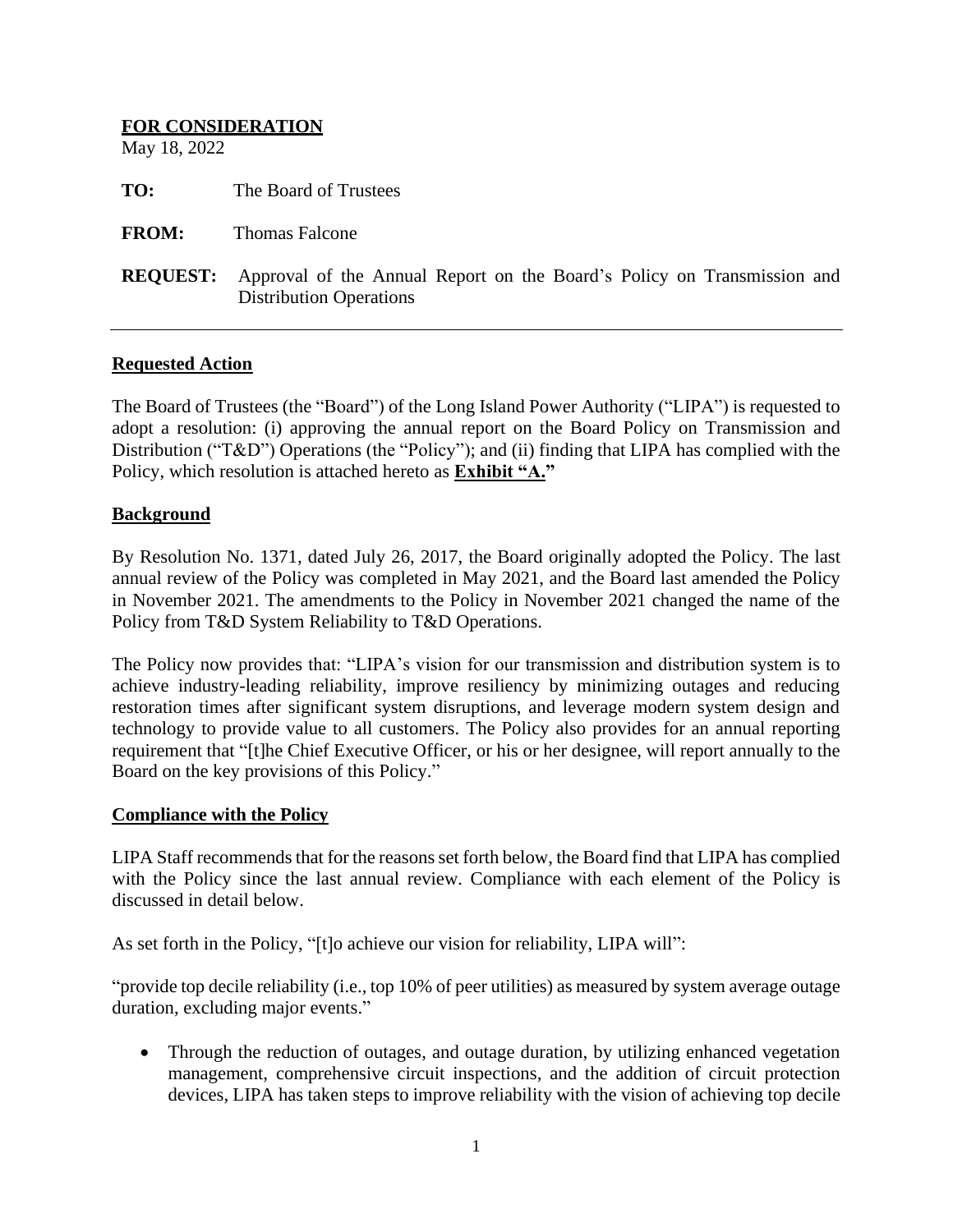| <b>FOR CONSIDERATION</b><br>May 18, 2022 |                                                                                                           |
|------------------------------------------|-----------------------------------------------------------------------------------------------------------|
| TO:                                      | The Board of Trustees                                                                                     |
| <b>FROM:</b>                             | <b>Thomas Falcone</b>                                                                                     |
| <b>REQUEST:</b>                          | Approval of the Annual Report on the Board's Policy on Transmission and<br><b>Distribution Operations</b> |

### **Requested Action**

The Board of Trustees (the "Board") of the Long Island Power Authority ("LIPA") is requested to adopt a resolution: (i) approving the annual report on the Board Policy on Transmission and Distribution ("T&D") Operations (the "Policy"); and (ii) finding that LIPA has complied with the Policy, which resolution is attached hereto as **Exhibit "A."**

### **Background**

By Resolution No. 1371, dated July 26, 2017, the Board originally adopted the Policy. The last annual review of the Policy was completed in May 2021, and the Board last amended the Policy in November 2021. The amendments to the Policy in November 2021 changed the name of the Policy from T&D System Reliability to T&D Operations.

The Policy now provides that: "LIPA's vision for our transmission and distribution system is to achieve industry-leading reliability, improve resiliency by minimizing outages and reducing restoration times after significant system disruptions, and leverage modern system design and technology to provide value to all customers. The Policy also provides for an annual reporting requirement that "[t]he Chief Executive Officer, or his or her designee, will report annually to the Board on the key provisions of this Policy."

#### **Compliance with the Policy**

LIPA Staff recommends that for the reasons set forth below, the Board find that LIPA has complied with the Policy since the last annual review. Compliance with each element of the Policy is discussed in detail below.

As set forth in the Policy, "[t]o achieve our vision for reliability, LIPA will":

"provide top decile reliability (i.e., top 10% of peer utilities) as measured by system average outage duration, excluding major events."

• Through the reduction of outages, and outage duration, by utilizing enhanced vegetation management, comprehensive circuit inspections, and the addition of circuit protection devices, LIPA has taken steps to improve reliability with the vision of achieving top decile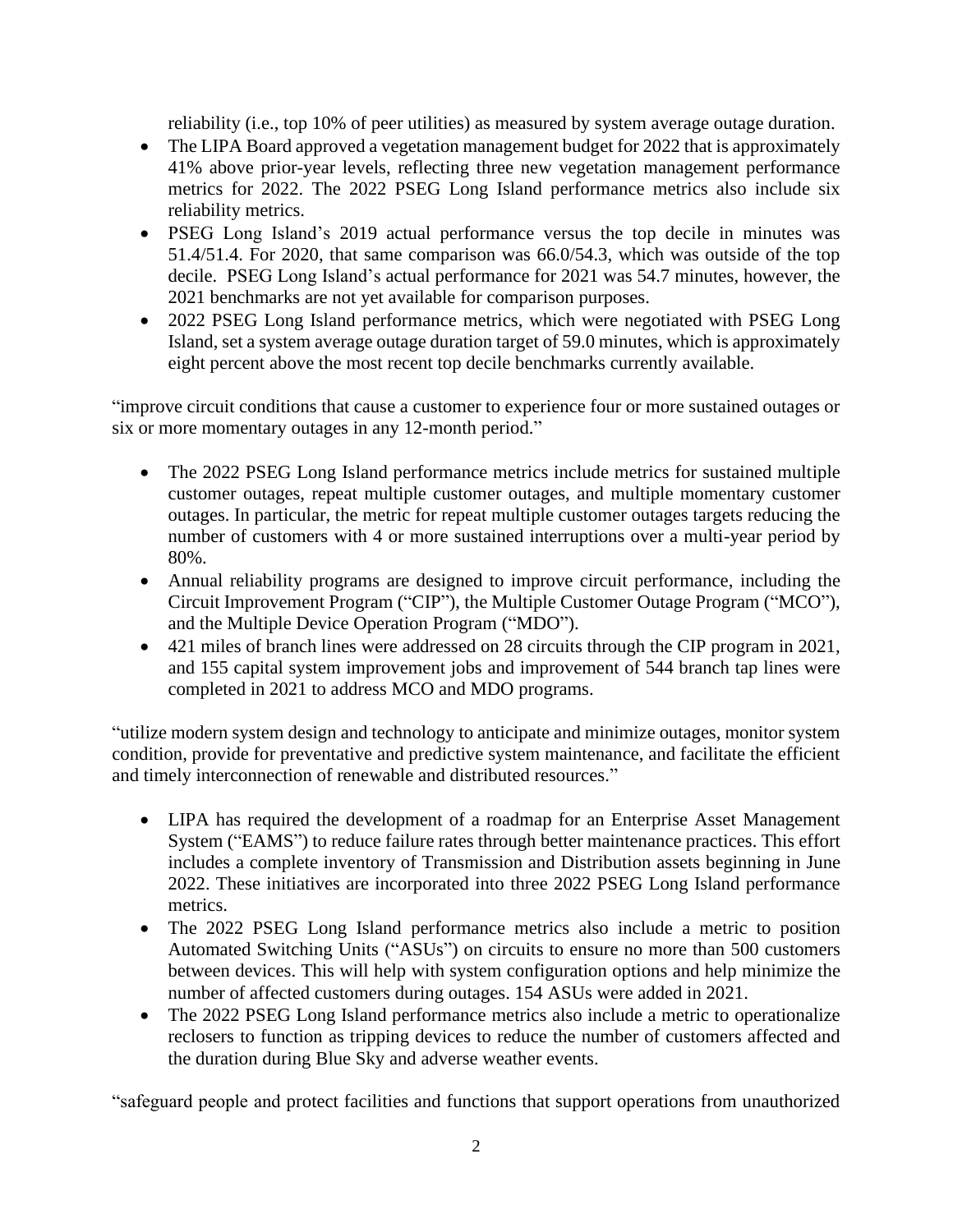reliability (i.e., top 10% of peer utilities) as measured by system average outage duration.

- The LIPA Board approved a vegetation management budget for 2022 that is approximately 41% above prior-year levels, reflecting three new vegetation management performance metrics for 2022. The 2022 PSEG Long Island performance metrics also include six reliability metrics.
- PSEG Long Island's 2019 actual performance versus the top decile in minutes was 51.4/51.4. For 2020, that same comparison was 66.0/54.3, which was outside of the top decile. PSEG Long Island's actual performance for 2021 was 54.7 minutes, however, the 2021 benchmarks are not yet available for comparison purposes.
- 2022 PSEG Long Island performance metrics, which were negotiated with PSEG Long Island, set a system average outage duration target of 59.0 minutes, which is approximately eight percent above the most recent top decile benchmarks currently available.

"improve circuit conditions that cause a customer to experience four or more sustained outages or six or more momentary outages in any 12-month period."

- The 2022 PSEG Long Island performance metrics include metrics for sustained multiple customer outages, repeat multiple customer outages, and multiple momentary customer outages. In particular, the metric for repeat multiple customer outages targets reducing the number of customers with 4 or more sustained interruptions over a multi-year period by 80%.
- Annual reliability programs are designed to improve circuit performance, including the Circuit Improvement Program ("CIP"), the Multiple Customer Outage Program ("MCO"), and the Multiple Device Operation Program ("MDO").
- 421 miles of branch lines were addressed on 28 circuits through the CIP program in 2021, and 155 capital system improvement jobs and improvement of 544 branch tap lines were completed in 2021 to address MCO and MDO programs.

"utilize modern system design and technology to anticipate and minimize outages, monitor system condition, provide for preventative and predictive system maintenance, and facilitate the efficient and timely interconnection of renewable and distributed resources."

- LIPA has required the development of a roadmap for an Enterprise Asset Management System ("EAMS") to reduce failure rates through better maintenance practices. This effort includes a complete inventory of Transmission and Distribution assets beginning in June 2022. These initiatives are incorporated into three 2022 PSEG Long Island performance metrics.
- The 2022 PSEG Long Island performance metrics also include a metric to position Automated Switching Units ("ASUs") on circuits to ensure no more than 500 customers between devices. This will help with system configuration options and help minimize the number of affected customers during outages. 154 ASUs were added in 2021.
- The 2022 PSEG Long Island performance metrics also include a metric to operationalize reclosers to function as tripping devices to reduce the number of customers affected and the duration during Blue Sky and adverse weather events.

"safeguard people and protect facilities and functions that support operations from unauthorized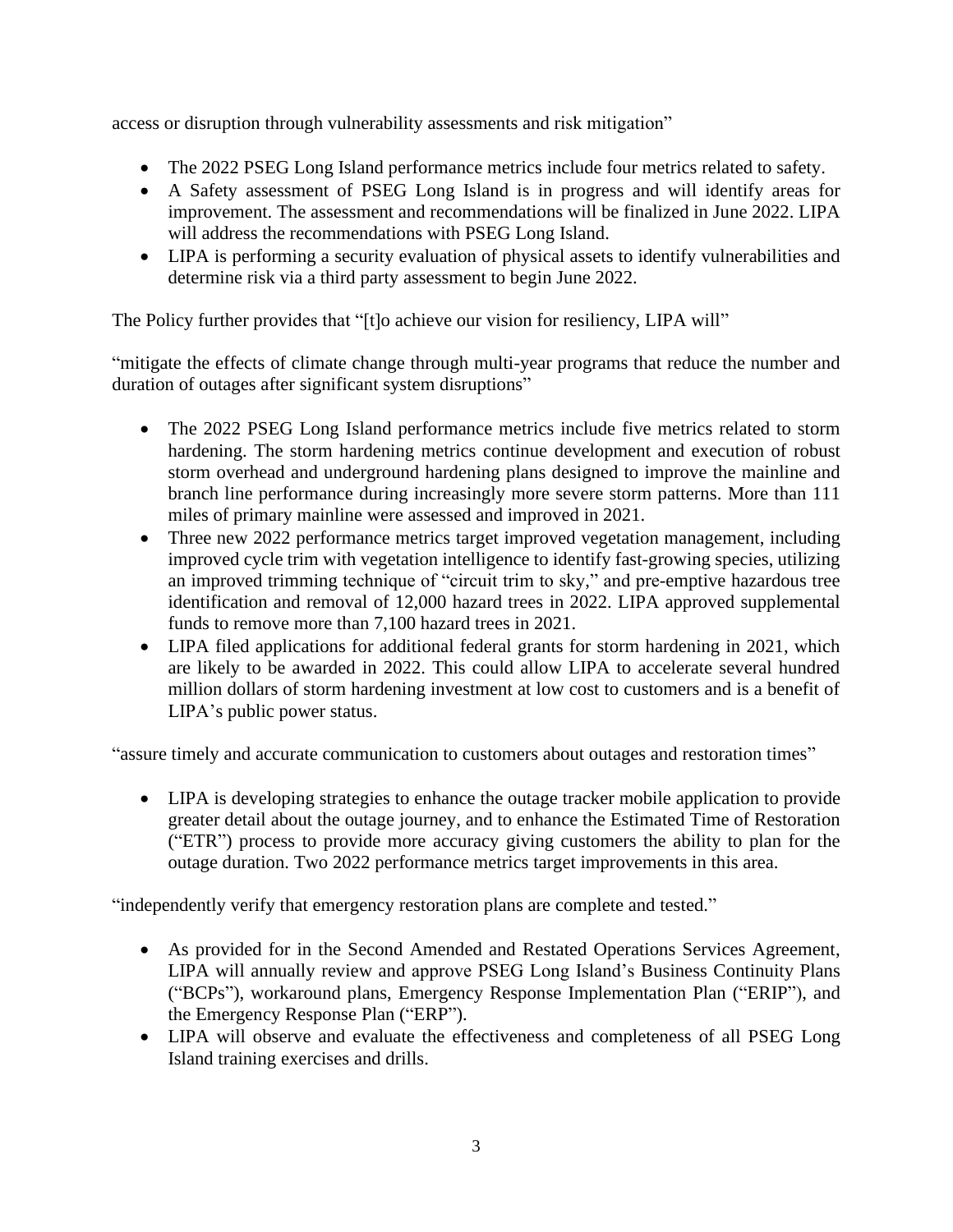access or disruption through vulnerability assessments and risk mitigation"

- The 2022 PSEG Long Island performance metrics include four metrics related to safety.
- A Safety assessment of PSEG Long Island is in progress and will identify areas for improvement. The assessment and recommendations will be finalized in June 2022. LIPA will address the recommendations with PSEG Long Island.
- LIPA is performing a security evaluation of physical assets to identify vulnerabilities and determine risk via a third party assessment to begin June 2022.

The Policy further provides that "[t]o achieve our vision for resiliency, LIPA will"

"mitigate the effects of climate change through multi-year programs that reduce the number and duration of outages after significant system disruptions"

- The 2022 PSEG Long Island performance metrics include five metrics related to storm hardening. The storm hardening metrics continue development and execution of robust storm overhead and underground hardening plans designed to improve the mainline and branch line performance during increasingly more severe storm patterns. More than 111 miles of primary mainline were assessed and improved in 2021.
- Three new 2022 performance metrics target improved vegetation management, including improved cycle trim with vegetation intelligence to identify fast-growing species, utilizing an improved trimming technique of "circuit trim to sky," and pre-emptive hazardous tree identification and removal of 12,000 hazard trees in 2022. LIPA approved supplemental funds to remove more than 7,100 hazard trees in 2021.
- LIPA filed applications for additional federal grants for storm hardening in 2021, which are likely to be awarded in 2022. This could allow LIPA to accelerate several hundred million dollars of storm hardening investment at low cost to customers and is a benefit of LIPA's public power status.

"assure timely and accurate communication to customers about outages and restoration times"

• LIPA is developing strategies to enhance the outage tracker mobile application to provide greater detail about the outage journey, and to enhance the Estimated Time of Restoration ("ETR") process to provide more accuracy giving customers the ability to plan for the outage duration. Two 2022 performance metrics target improvements in this area.

"independently verify that emergency restoration plans are complete and tested."

- As provided for in the Second Amended and Restated Operations Services Agreement, LIPA will annually review and approve PSEG Long Island's Business Continuity Plans ("BCPs"), workaround plans, Emergency Response Implementation Plan ("ERIP"), and the Emergency Response Plan ("ERP").
- LIPA will observe and evaluate the effectiveness and completeness of all PSEG Long Island training exercises and drills.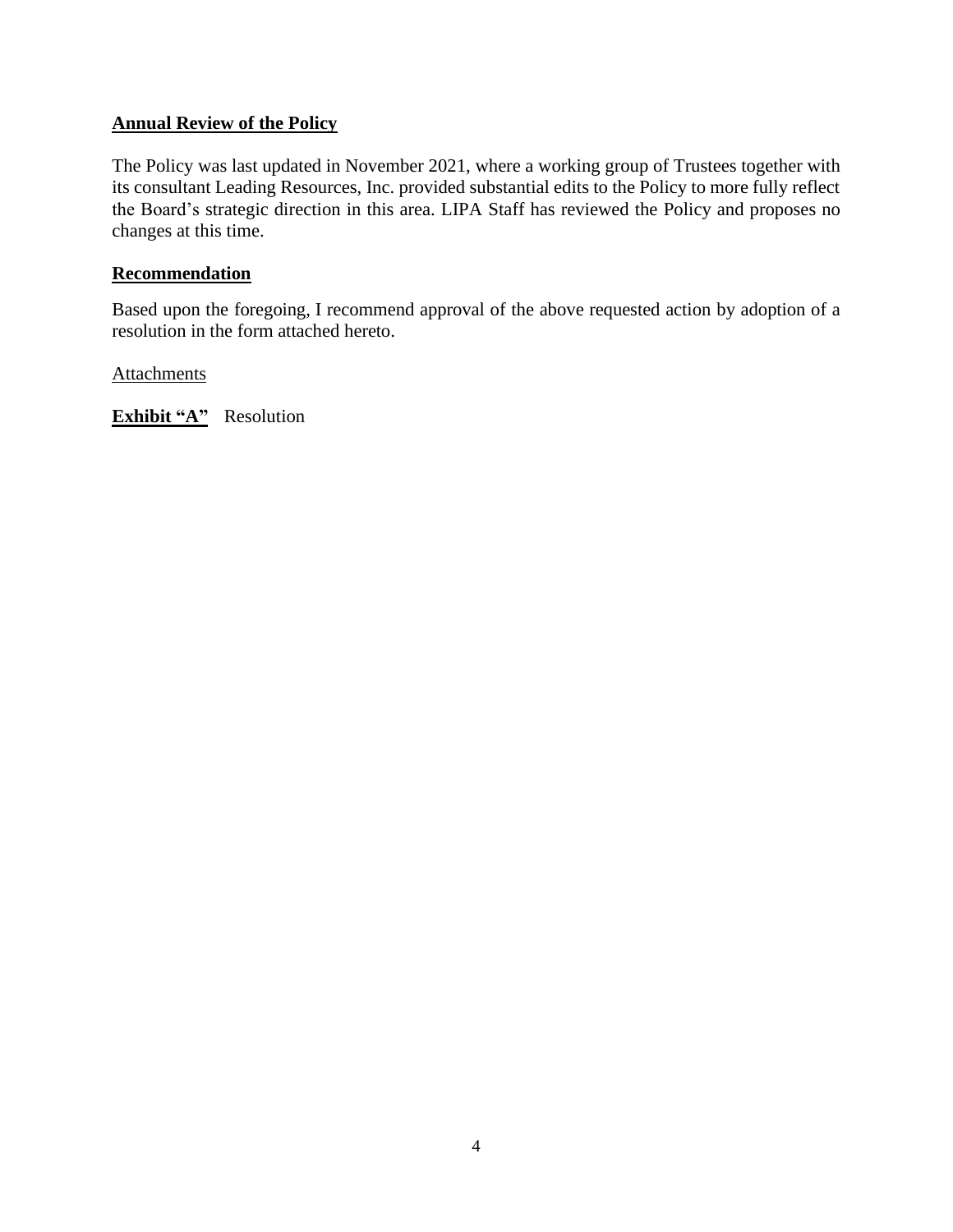# **Annual Review of the Policy**

The Policy was last updated in November 2021, where a working group of Trustees together with its consultant Leading Resources, Inc. provided substantial edits to the Policy to more fully reflect the Board's strategic direction in this area. LIPA Staff has reviewed the Policy and proposes no changes at this time.

## **Recommendation**

Based upon the foregoing, I recommend approval of the above requested action by adoption of a resolution in the form attached hereto.

**Attachments** 

**Exhibit "A"** Resolution